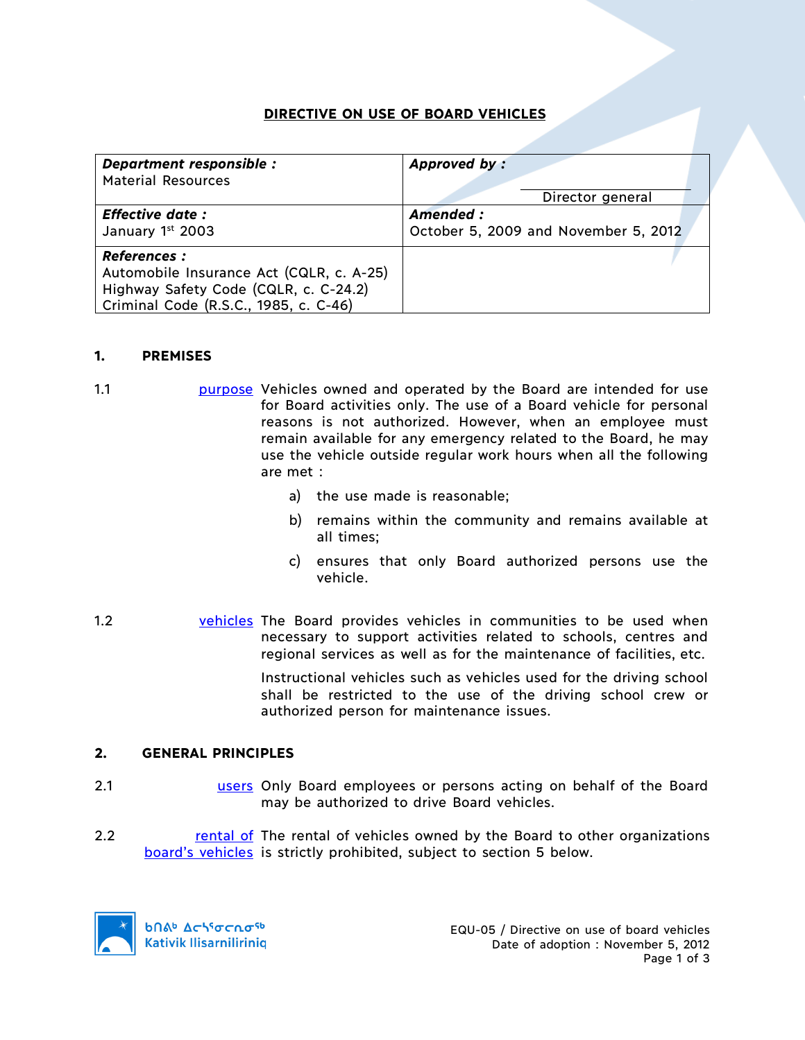# **DIRECTIVE ON USE OF BOARD VEHICLES**

| Department responsible :                                                                                                                          | Approved by:                         |
|---------------------------------------------------------------------------------------------------------------------------------------------------|--------------------------------------|
| <b>Material Resources</b>                                                                                                                         | Director general                     |
| <b>Effective date:</b>                                                                                                                            | Amended:                             |
| January 1st 2003                                                                                                                                  | October 5, 2009 and November 5, 2012 |
| <b>References :</b><br>Automobile Insurance Act (CQLR, c. A-25)<br>Highway Safety Code (CQLR, c. C-24.2)<br>Criminal Code (R.S.C., 1985, c. C-46) |                                      |

#### **1. PREMISES**

- 1.1 **purpose** Vehicles owned and operated by the Board are intended for use for Board activities only. The use of a Board vehicle for personal reasons is not authorized. However, when an employee must remain available for any emergency related to the Board, he may use the vehicle outside regular work hours when all the following are met :
	- a) the use made is reasonable;
	- b) remains within the community and remains available at all times;
	- c) ensures that only Board authorized persons use the vehicle.
- 1.2 vehicles The Board provides vehicles in communities to be used when necessary to support activities related to schools, centres and regional services as well as for the maintenance of facilities, etc.

Instructional vehicles such as vehicles used for the driving school shall be restricted to the use of the driving school crew or authorized person for maintenance issues.

## **2. GENERAL PRINCIPLES**

- 2.1 users Only Board employees or persons acting on behalf of the Board may be authorized to drive Board vehicles.
- 2.2 **rental of The rental of vehicles owned by the Board to other organizations** board's vehicles is strictly prohibited, subject to section 5 below.

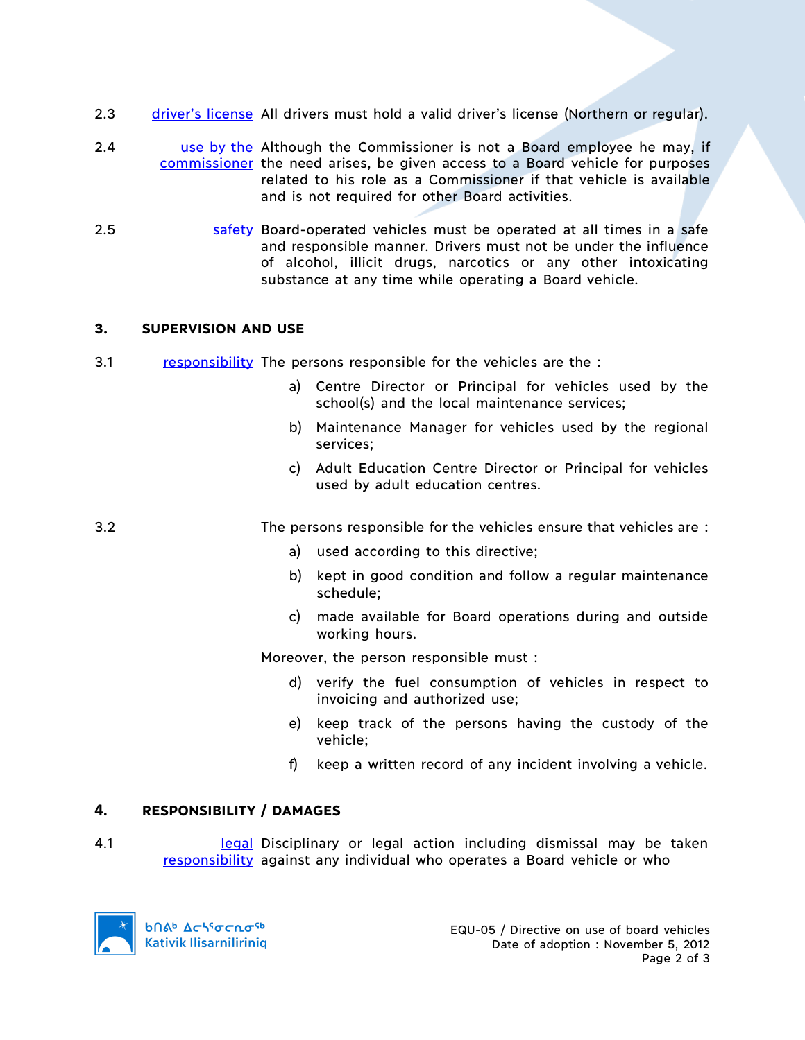- 2.3 driver's license All drivers must hold a valid driver's license (Northern or regular).
- 2.4 **use by the Although the Commissioner is not a Board employee he may, if** commissioner the need arises, be given access to a Board vehicle for purposes related to his role as a Commissioner if that vehicle is available and is not required for other Board activities.
- 2.5 safety Board-operated vehicles must be operated at all times in a safe and responsible manner. Drivers must not be under the influence of alcohol, illicit drugs, narcotics or any other intoxicating substance at any time while operating a Board vehicle.

## **3. SUPERVISION AND USE**

- 3.1 responsibility The persons responsible for the vehicles are the :
	- a) Centre Director or Principal for vehicles used by the school(s) and the local maintenance services;
	- b) Maintenance Manager for vehicles used by the regional services;
	- c) Adult Education Centre Director or Principal for vehicles used by adult education centres.

3.2 The persons responsible for the vehicles ensure that vehicles are :

- a) used according to this directive;
- b) kept in good condition and follow a regular maintenance schedule;
- c) made available for Board operations during and outside working hours.

Moreover, the person responsible must :

- d) verify the fuel consumption of vehicles in respect to invoicing and authorized use;
- e) keep track of the persons having the custody of the vehicle;
- f) keep a written record of any incident involving a vehicle.

## **4. RESPONSIBILITY / DAMAGES**

4.1 **legal Disciplinary or legal action including dismissal may be taken** responsibility against any individual who operates a Board vehicle or who